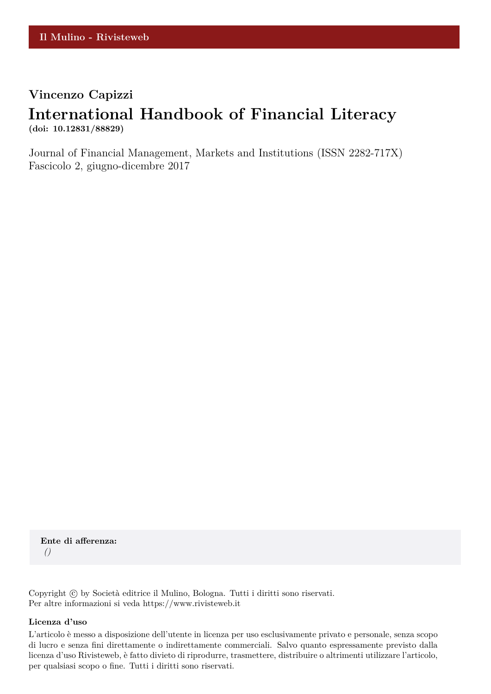## **Vincenzo Capizzi**

## **International Handbook of Financial Literacy (doi: 10.12831/88829)**

Journal of Financial Management, Markets and Institutions (ISSN 2282-717X) Fascicolo 2, giugno-dicembre 2017

**Ente di afferenza:** *()*

Copyright © by Società editrice il Mulino, Bologna. Tutti i diritti sono riservati. Per altre informazioni si veda https://www.rivisteweb.it

## **Licenza d'uso**

L'articolo è messo a disposizione dell'utente in licenza per uso esclusivamente privato e personale, senza scopo di lucro e senza fini direttamente o indirettamente commerciali. Salvo quanto espressamente previsto dalla licenza d'uso Rivisteweb, è fatto divieto di riprodurre, trasmettere, distribuire o altrimenti utilizzare l'articolo, per qualsiasi scopo o fine. Tutti i diritti sono riservati.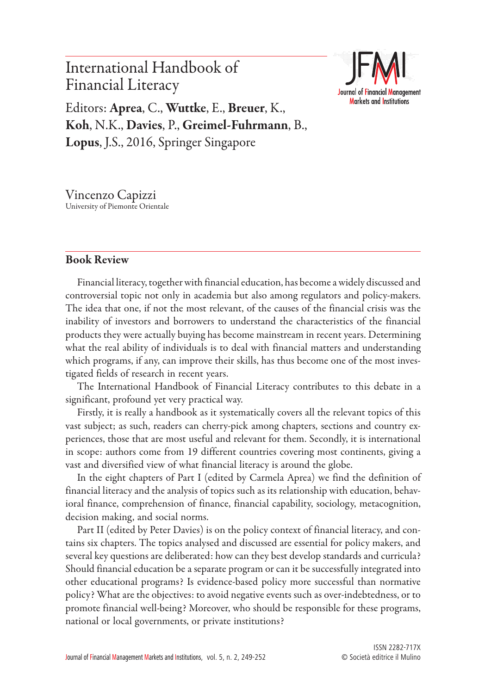International Handbook of Financial Literacy Editors: Aprea, C., Wuttke, E., Breuer, K., Koh, N.K., Davies, P., Greimel-Fuhrmann, B.,



Lopus, J.S., 2016, Springer Singapore

Vincenzo Capizzi University of Piemonte Orientale

## Book Review

Financial literacy, together with financial education, has become a widely discussed and controversial topic not only in academia but also among regulators and policy-makers. The idea that one, if not the most relevant, of the causes of the financial crisis was the inability of investors and borrowers to understand the characteristics of the financial products they were actually buying has become mainstream in recent years. Determining what the real ability of individuals is to deal with financial matters and understanding which programs, if any, can improve their skills, has thus become one of the most investigated fields of research in recent years.

The International Handbook of Financial Literacy contributes to this debate in a significant, profound yet very practical way.

Firstly, it is really a handbook as it systematically covers all the relevant topics of this vast subject; as such, readers can cherry-pick among chapters, sections and country experiences, those that are most useful and relevant for them. Secondly, it is international in scope: authors come from 19 different countries covering most continents, giving a vast and diversified view of what financial literacy is around the globe.

In the eight chapters of Part I (edited by Carmela Aprea) we find the definition of financial literacy and the analysis of topics such as its relationship with education, behavioral finance, comprehension of finance, financial capability, sociology, metacognition, decision making, and social norms.

Part II (edited by Peter Davies) is on the policy context of financial literacy, and contains six chapters. The topics analysed and discussed are essential for policy makers, and several key questions are deliberated: how can they best develop standards and curricula? Should financial education be a separate program or can it be successfully integrated into other educational programs? Is evidence-based policy more successful than normative policy? What are the objectives: to avoid negative events such as over-indebtedness, or to promote financial well-being? Moreover, who should be responsible for these programs, national or local governments, or private institutions?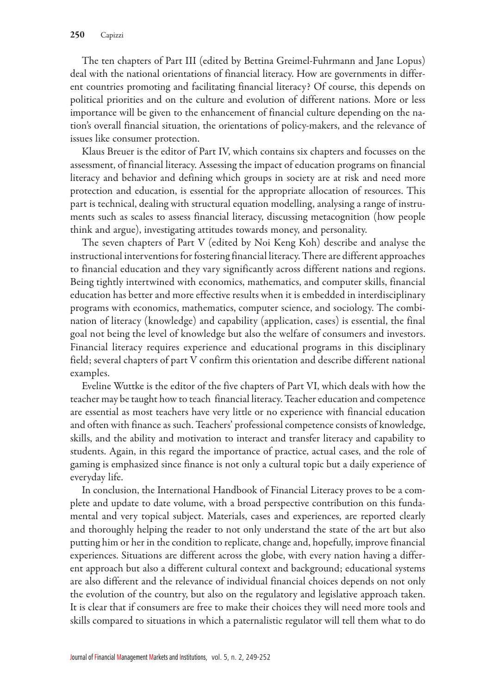The ten chapters of Part III (edited by Bettina Greimel-Fuhrmann and Jane Lopus) deal with the national orientations of financial literacy. How are governments in different countries promoting and facilitating financial literacy? Of course, this depends on political priorities and on the culture and evolution of different nations. More or less importance will be given to the enhancement of financial culture depending on the nation's overall financial situation, the orientations of policy-makers, and the relevance of issues like consumer protection.

Klaus Breuer is the editor of Part IV, which contains six chapters and focusses on the assessment, of financial literacy. Assessing the impact of education programs on financial literacy and behavior and defining which groups in society are at risk and need more protection and education, is essential for the appropriate allocation of resources. This part is technical, dealing with structural equation modelling, analysing a range of instruments such as scales to assess financial literacy, discussing metacognition (how people think and argue), investigating attitudes towards money, and personality.

The seven chapters of Part V (edited by Noi Keng Koh) describe and analyse the instructional interventions for fostering financial literacy. There are different approaches to financial education and they vary significantly across different nations and regions. Being tightly intertwined with economics, mathematics, and computer skills, financial education has better and more effective results when it is embedded in interdisciplinary programs with economics, mathematics, computer science, and sociology. The combination of literacy (knowledge) and capability (application, cases) is essential, the final goal not being the level of knowledge but also the welfare of consumers and investors. Financial literacy requires experience and educational programs in this disciplinary field; several chapters of part V confirm this orientation and describe different national examples.

Eveline Wuttke is the editor of the five chapters of Part VI, which deals with how the teacher may be taught how to teach financial literacy. Teacher education and competence are essential as most teachers have very little or no experience with financial education and often with finance as such. Teachers' professional competence consists of knowledge, skills, and the ability and motivation to interact and transfer literacy and capability to students. Again, in this regard the importance of practice, actual cases, and the role of gaming is emphasized since finance is not only a cultural topic but a daily experience of everyday life.

In conclusion, the International Handbook of Financial Literacy proves to be a complete and update to date volume, with a broad perspective contribution on this fundamental and very topical subject. Materials, cases and experiences, are reported clearly and thoroughly helping the reader to not only understand the state of the art but also putting him or her in the condition to replicate, change and, hopefully, improve financial experiences. Situations are different across the globe, with every nation having a different approach but also a different cultural context and background; educational systems are also different and the relevance of individual financial choices depends on not only the evolution of the country, but also on the regulatory and legislative approach taken. It is clear that if consumers are free to make their choices they will need more tools and skills compared to situations in which a paternalistic regulator will tell them what to do